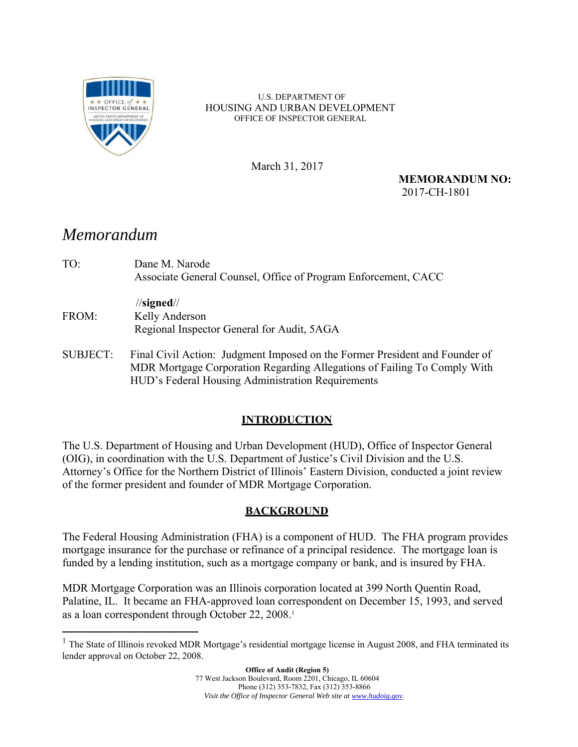

U.S. DEPARTMENT OF HOUSING AND URBAN DEVELOPMENT OFFICE OF INSPECTOR GENERAL

March 31, 2017

**MEMORANDUM NO:**  2017-CH-1801

# *Memorandum*

 $\overline{a}$ 

| TO:             | Dane M. Narode<br>Associate General Counsel, Office of Program Enforcement, CACC                                                                                                                             |
|-----------------|--------------------------------------------------------------------------------------------------------------------------------------------------------------------------------------------------------------|
|                 | $\frac{1}{\sqrt{2}}$                                                                                                                                                                                         |
| FROM:           | Kelly Anderson<br>Regional Inspector General for Audit, 5AGA                                                                                                                                                 |
| <b>SUBJECT:</b> | Final Civil Action: Judgment Imposed on the Former President and Founder of<br>MDR Mortgage Corporation Regarding Allegations of Failing To Comply With<br>HUD's Federal Housing Administration Requirements |

## **INTRODUCTION**

The U.S. Department of Housing and Urban Development (HUD), Office of Inspector General (OIG), in coordination with the U.S. Department of Justice's Civil Division and the U.S. Attorney's Office for the Northern District of Illinois' Eastern Division, conducted a joint review of the former president and founder of MDR Mortgage Corporation.

### **BACKGROUND**

The Federal Housing Administration (FHA) is a component of HUD. The FHA program provides mortgage insurance for the purchase or refinance of a principal residence. The mortgage loan is funded by a lending institution, such as a mortgage company or bank, and is insured by FHA.

MDR Mortgage Corporation was an Illinois corporation located at 399 North Quentin Road, Palatine, IL. It became an FHA-approved loan correspondent on December 15, 1993, and served as a loan correspondent through October 22, 2008.<sup>1</sup>

<sup>&</sup>lt;sup>1</sup> The State of Illinois revoked MDR Mortgage's residential mortgage license in August 2008, and FHA terminated its lender approval on October 22, 2008.